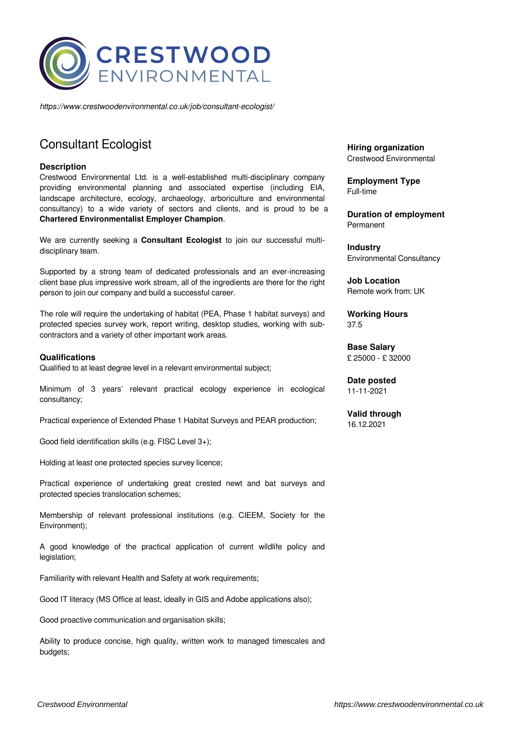

*https://www.crestwoodenvironmental.co.uk/job/consultant-ecologist/*

# Consultant Ecologist

### **Description**

Crestwood Environmental Ltd. is a well-established multi-disciplinary company providing environmental planning and associated expertise (including EIA, landscape architecture, ecology, archaeology, arboriculture and environmental consultancy) to a wide variety of sectors and clients, and is proud to be a **Chartered Environmentalist Employer Champion**.

We are currently seeking a **Consultant Ecologist** to join our successful multidisciplinary team.

Supported by a strong team of dedicated professionals and an ever-increasing client base plus impressive work stream, all of the ingredients are there for the right person to join our company and build a successful career.

The role will require the undertaking of habitat (PEA, Phase 1 habitat surveys) and protected species survey work, report writing, desktop studies, working with subcontractors and a variety of other important work areas.

## **Qualifications**

Qualified to at least degree level in a relevant environmental subject;

Minimum of 3 years' relevant practical ecology experience in ecological consultancy;

Practical experience of Extended Phase 1 Habitat Surveys and PEAR production;

Good field identification skills (e.g. FISC Level 3+);

Holding at least one protected species survey licence;

Practical experience of undertaking great crested newt and bat surveys and protected species translocation schemes;

Membership of relevant professional institutions (e.g. CIEEM, Society for the Environment);

A good knowledge of the practical application of current wildlife policy and legislation;

Familiarity with relevant Health and Safety at work requirements;

Good IT literacy (MS Office at least, ideally in GIS and Adobe applications also);

Good proactive communication and organisation skills;

Ability to produce concise, high quality, written work to managed timescales and budgets:

**Hiring organization** Crestwood Environmental

**Employment Type** Full-time

**Duration of employment** Permanent

**Industry** Environmental Consultancy

**Job Location** Remote work from: UK

**Working Hours** 37.5

**Base Salary** £ 25000 - £ 32000

**Date posted** 11-11-2021

**Valid through** 16.12.2021